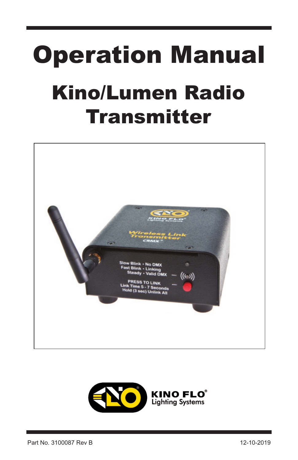# Operation Manual Kino/Lumen Radio **Transmitter**



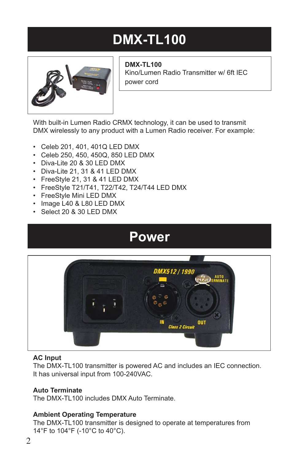## **DMX-TL100**



**DMX-TL100**  Kino/Lumen Radio Transmitter w/ 6ft IEC power cord

With built-in Lumen Radio CRMX technology, it can be used to transmit DMX wirelessly to any product with a Lumen Radio receiver. For example:

- Celeb 201, 401, 401Q LED DMX
- Celeb 250, 450, 450Q, 850 LED DMX
- Diva-Lite 20 & 30 LED DMX
- Diva-Lite 21, 31 & 41 LED DMX
- FreeStyle 21, 31 & 41 LED DMX
- FreeStyle T21/T41, T22/T42, T24/T44 LED DMX
- FreeStyle Mini LED DMX
- Image L40 & L80 LED DMX
- Select 20 & 30 LED DMX

### **Power**



#### **AC Input**

The DMX-TL100 transmitter is powered AC and includes an IEC connection. It has universal input from 100-240VAC.

### **Auto Terminate**

The DMX-TL100 includes DMX Auto Terminate.

### **Ambient Operating Temperature**

The DMX-TL100 transmitter is designed to operate at temperatures from 14°F to 104°F (-10°C to 40°C).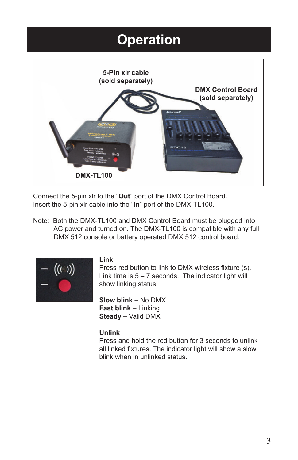### **Operation**



Connect the 5-pin xlr to the "**Out**" port of the DMX Control Board. Insert the 5-pin xlr cable into the "**In**" port of the DMX-TL100.

Note: Both the DMX-TL100 and DMX Control Board must be plugged into AC power and turned on. The DMX-TL100 is compatible with any full DMX 512 console or battery operated DMX 512 control board.



#### **Link**

Press red button to link to DMX wireless fixture (s). Link time is  $5 - 7$  seconds. The indicator light will show linking status:

**Slow blink –** No DMX **Fast blink –** Linking **Steady –** Valid DMX

#### **Unlink**

Press and hold the red button for 3 seconds to unlink all linked fixtures. The indicator light will show a slow blink when in unlinked status.